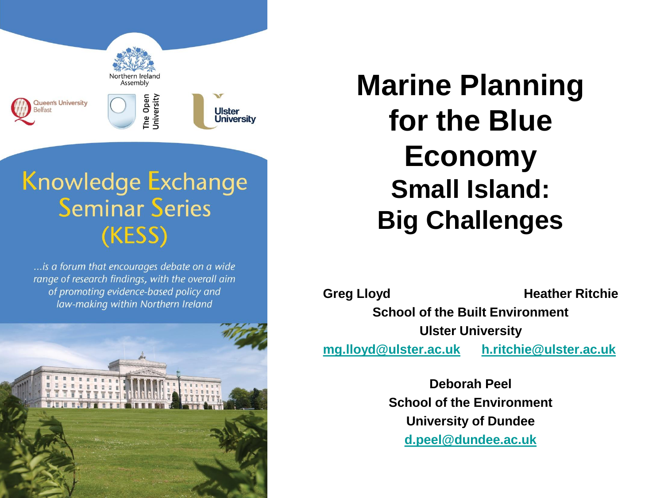

### **Knowledge Exchange Seminar Series** (KESS)

... is a forum that encourages debate on a wide range of research findings, with the overall aim of promoting evidence-based policy and law-making within Northern Ireland



**Marine Planning for the Blue Economy Small Island: Big Challenges**

**Greg Lloyd Heather Ritchie** 

**School of the Built Environment Ulster University**

**[mg.lloyd@ulster.ac.uk](mailto:mg.lloyd@ulster.ac.uk) [h.ritchie@ulster.ac.uk](mailto:h.ritchie@ulster.ac.uk)**

**Deborah Peel School of the Environment University of Dundee [d.peel@dundee.ac.uk](mailto:d.peel@dundee.ac.uk)**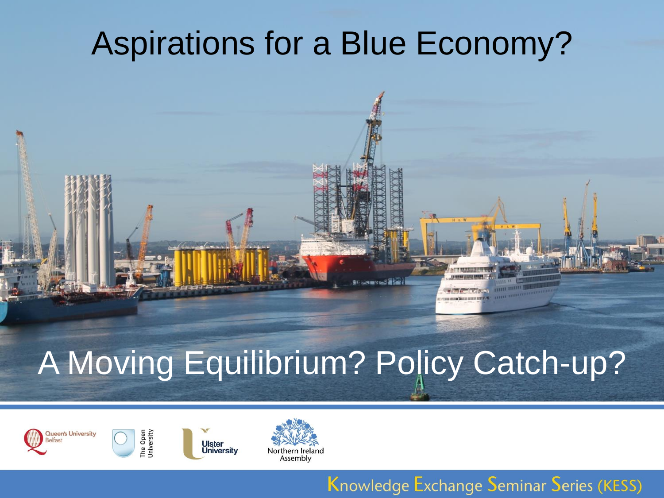## Aspirations for a Blue Economy?

# A Moving Equilibrium? Policy Catch-up?



The Open<br>Jniversity



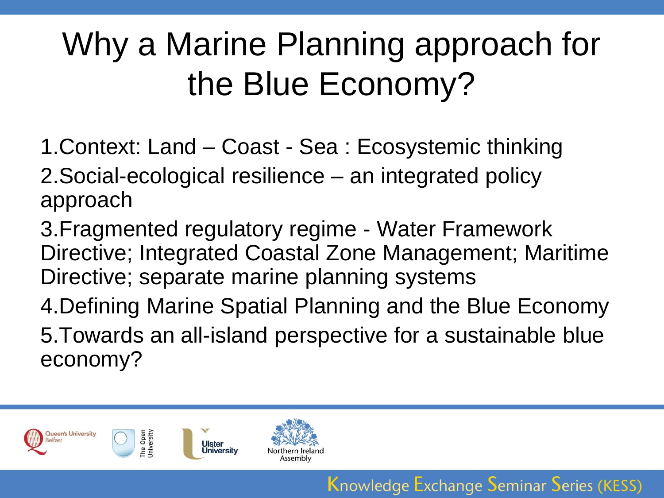# Why a Marine Planning approach for the Blue Economy?

- 1.Context: Land Coast Sea : Ecosystemic thinking
- 2.Social-ecological resilience an integrated policy approach
- 3.Fragmented regulatory regime Water Framework Directive; Integrated Coastal Zone Management; Maritime Directive; separate marine planning systems
- 4.Defining Marine Spatial Planning and the Blue Economy
- 5.Towards an all-island perspective for a sustainable blue economy?

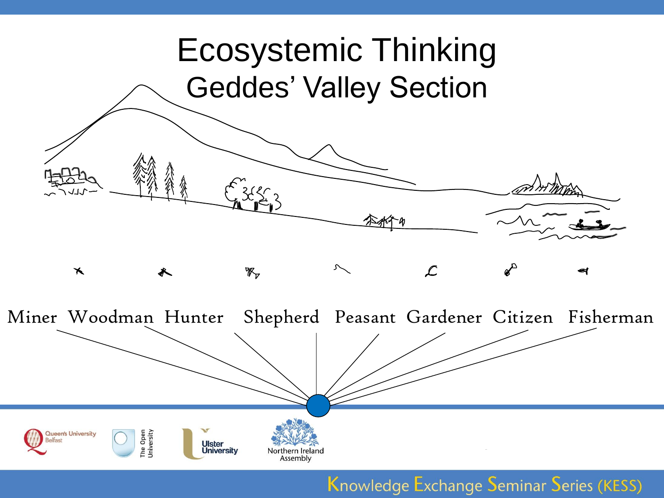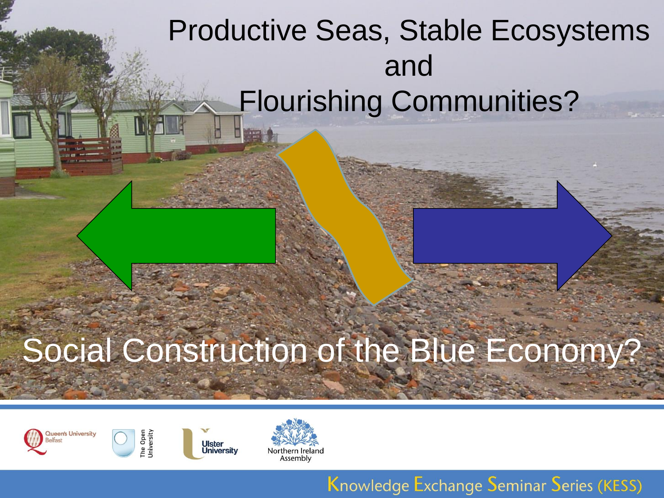### Productive Seas, Stable Ecosystems and Flourishing Communities?

# Social Construction of the Blue Economy?



The Open<br>Jniversity



Ulster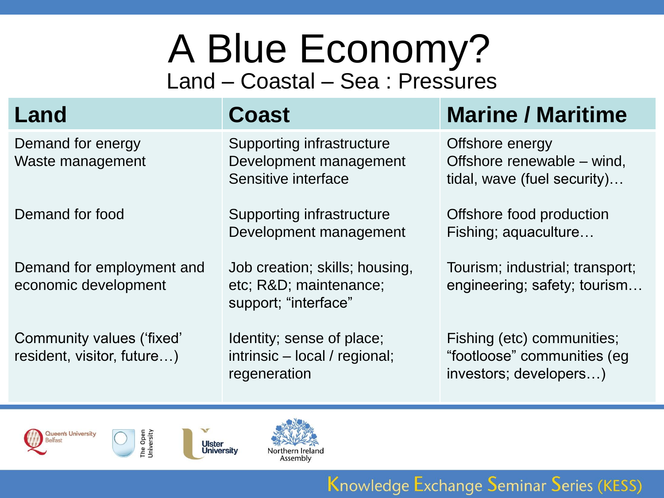## A Blue Economy? Land – Coastal – Sea : Pressures

Demand for energy Waste management

Demand for food

Demand for employment and economic development

Community values ('fixed' resident, visitor, future…)

Supporting infrastructure Development management Sensitive interface

Supporting infrastructure Development management

Job creation; skills; housing, etc; R&D; maintenance; support; "interface"

Identity; sense of place; intrinsic – local / regional; regeneration

### **Land Coast Marine / Maritime**

Offshore energy Offshore renewable – wind, tidal, wave (fuel security)…

Offshore food production Fishing; aquaculture…

Tourism; industrial; transport; engineering; safety; tourism…

Fishing (etc) communities; "footloose" communities (eg investors; developers…)







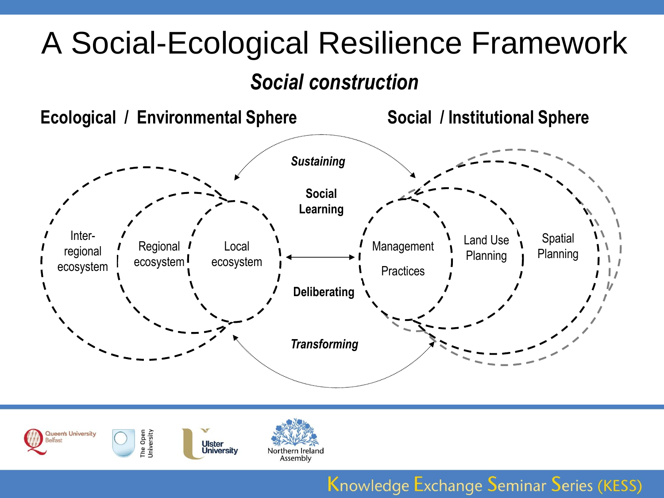# A Social-Ecological Resilience Framework

### *Social construction*





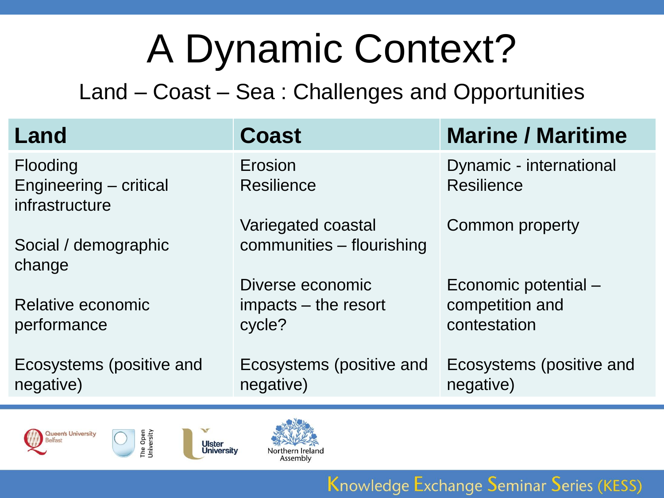# A Dynamic Context?

Land – Coast – Sea : Challenges and Opportunities

| Land                                                 | <b>Coast</b>                                       | <b>Marine / Maritime</b>                                |
|------------------------------------------------------|----------------------------------------------------|---------------------------------------------------------|
| Flooding<br>Engineering - critical<br>infrastructure | Erosion<br><b>Resilience</b>                       | Dynamic - international<br><b>Resilience</b>            |
| Social / demographic<br>change                       | Variegated coastal<br>communities – flourishing    | Common property                                         |
| Relative economic<br>performance                     | Diverse economic<br>impacts – the resort<br>cycle? | Economic potential -<br>competition and<br>contestation |
| Ecosystems (positive and<br>negative)                | Ecosystems (positive and<br>negative)              | Ecosystems (positive and<br>negative)                   |







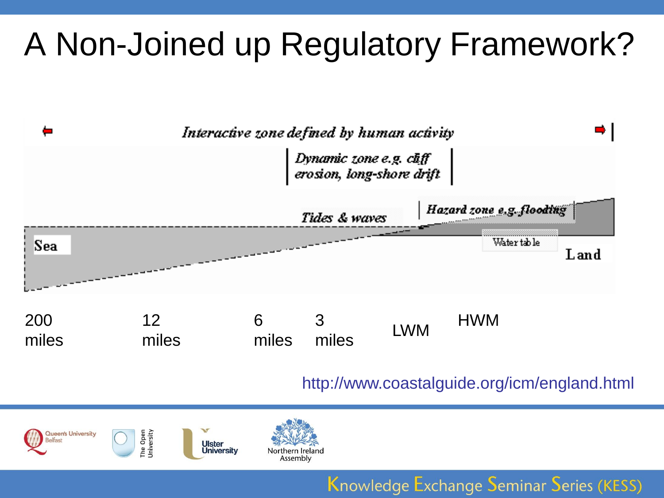# A Non-Joined up Regulatory Framework?



### http://www.coastalguide.org/icm/england.html



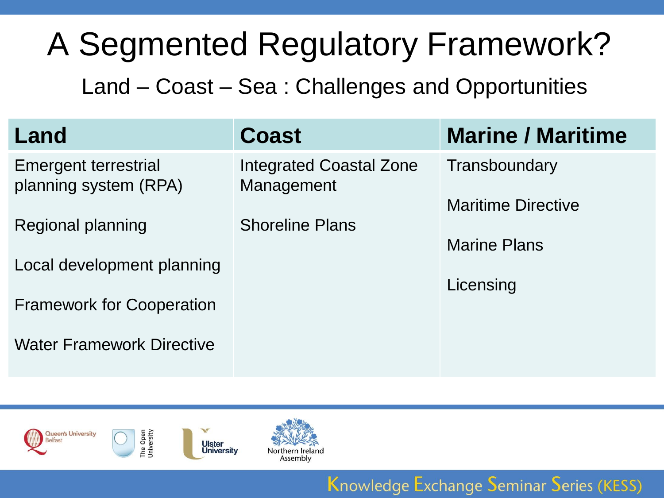# A Segmented Regulatory Framework?

Land – Coast – Sea : Challenges and Opportunities

| Land                                                 | <b>Coast</b>                                 | <b>Marine / Maritime</b>  |
|------------------------------------------------------|----------------------------------------------|---------------------------|
| <b>Emergent terrestrial</b><br>planning system (RPA) | <b>Integrated Coastal Zone</b><br>Management | Transboundary             |
|                                                      |                                              | <b>Maritime Directive</b> |
| Regional planning                                    | <b>Shoreline Plans</b>                       | <b>Marine Plans</b>       |
| Local development planning                           |                                              | Licensing                 |
| <b>Framework for Cooperation</b>                     |                                              |                           |
| <b>Water Framework Directive</b>                     |                                              |                           |

Knowledge Exchange Seminar Series (KESS)



The Open<br>Jniversity

**Ulster** University

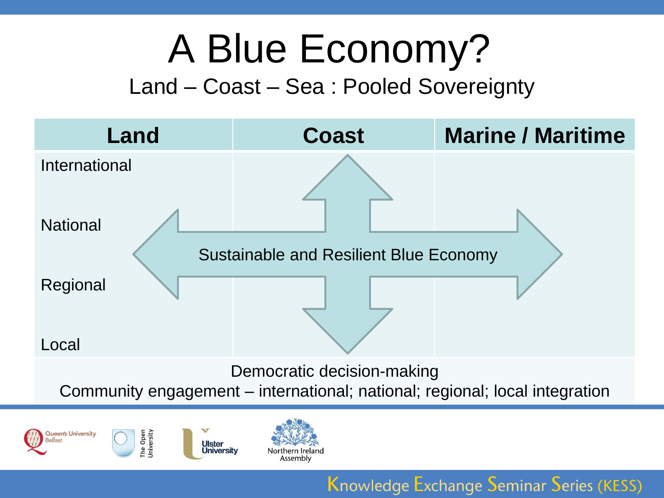# A Blue Economy?

### Land – Coast – Sea : Pooled Sovereignty